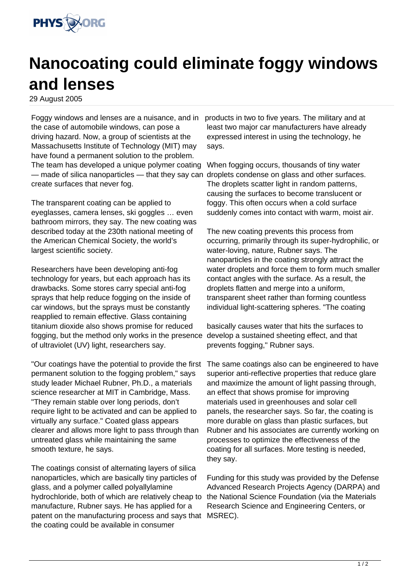

## **Nanocoating could eliminate foggy windows and lenses**

29 August 2005

Foggy windows and lenses are a nuisance, and in products in two to five years. The military and at the case of automobile windows, can pose a driving hazard. Now, a group of scientists at the Massachusetts Institute of Technology (MIT) may have found a permanent solution to the problem. The team has developed a unique polymer coating — made of silica nanoparticles — that they say can droplets condense on glass and other surfaces. create surfaces that never fog.

The transparent coating can be applied to eyeglasses, camera lenses, ski goggles … even bathroom mirrors, they say. The new coating was described today at the 230th national meeting of the American Chemical Society, the world's largest scientific society.

Researchers have been developing anti-fog technology for years, but each approach has its drawbacks. Some stores carry special anti-fog sprays that help reduce fogging on the inside of car windows, but the sprays must be constantly reapplied to remain effective. Glass containing titanium dioxide also shows promise for reduced fogging, but the method only works in the presence develop a sustained sheeting effect, and that of ultraviolet (UV) light, researchers say.

"Our coatings have the potential to provide the first permanent solution to the fogging problem," says study leader Michael Rubner, Ph.D., a materials science researcher at MIT in Cambridge, Mass. "They remain stable over long periods, don't require light to be activated and can be applied to virtually any surface." Coated glass appears clearer and allows more light to pass through than untreated glass while maintaining the same smooth texture, he says.

The coatings consist of alternating layers of silica nanoparticles, which are basically tiny particles of glass, and a polymer called polyallylamine hydrochloride, both of which are relatively cheap to manufacture, Rubner says. He has applied for a patent on the manufacturing process and says that MSREC). the coating could be available in consumer

least two major car manufacturers have already expressed interest in using the technology, he says.

When fogging occurs, thousands of tiny water The droplets scatter light in random patterns, causing the surfaces to become translucent or foggy. This often occurs when a cold surface suddenly comes into contact with warm, moist air.

The new coating prevents this process from occurring, primarily through its super-hydrophilic, or water-loving, nature, Rubner says. The nanoparticles in the coating strongly attract the water droplets and force them to form much smaller contact angles with the surface. As a result, the droplets flatten and merge into a uniform, transparent sheet rather than forming countless individual light-scattering spheres. "The coating

basically causes water that hits the surfaces to prevents fogging," Rubner says.

The same coatings also can be engineered to have superior anti-reflective properties that reduce glare and maximize the amount of light passing through, an effect that shows promise for improving materials used in greenhouses and solar cell panels, the researcher says. So far, the coating is more durable on glass than plastic surfaces, but Rubner and his associates are currently working on processes to optimize the effectiveness of the coating for all surfaces. More testing is needed, they say.

Funding for this study was provided by the Defense Advanced Research Projects Agency (DARPA) and the National Science Foundation (via the Materials Research Science and Engineering Centers, or